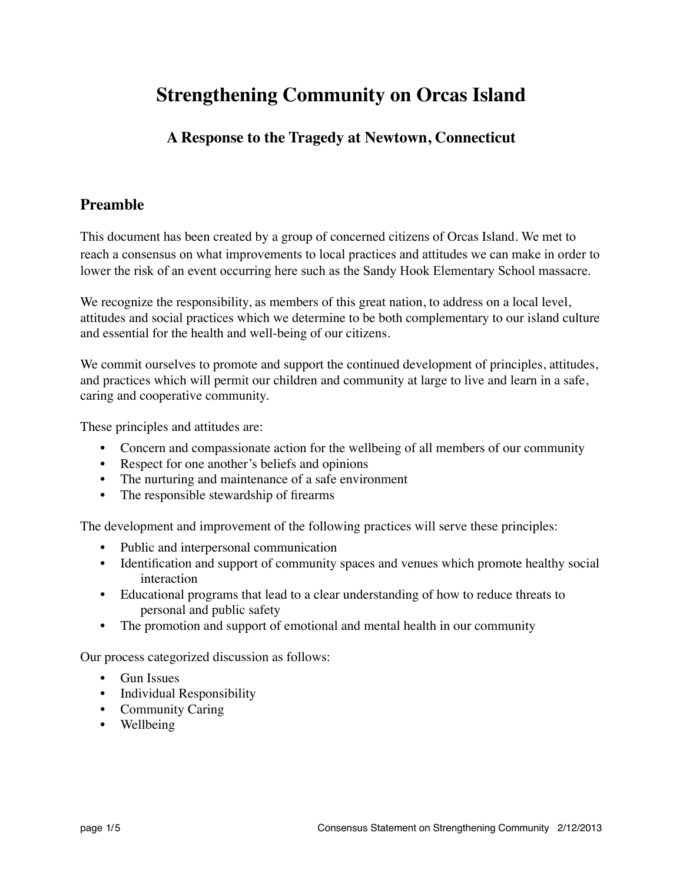# **Strengthening Community on Orcas Island**

#### **A Response to the Tragedy at Newtown, Connecticut**

#### **Preamble**

This document has been created by a group of concerned citizens of Orcas Island. We met to reach a consensus on what improvements to local practices and attitudes we can make in order to lower the risk of an event occurring here such as the Sandy Hook Elementary School massacre.

We recognize the responsibility, as members of this great nation, to address on a local level, attitudes and social practices which we determine to be both complementary to our island culture and essential for the health and well-being of our citizens.

We commit ourselves to promote and support the continued development of principles, attitudes, and practices which will permit our children and community at large to live and learn in a safe, caring and cooperative community.

These principles and attitudes are:

- Concern and compassionate action for the wellbeing of all members of our community
- Respect for one another's beliefs and opinions
- The nurturing and maintenance of a safe environment
- The responsible stewardship of firearms

The development and improvement of the following practices will serve these principles:

- Public and interpersonal communication
- Identification and support of community spaces and venues which promote healthy social interaction
- Educational programs that lead to a clear understanding of how to reduce threats to personal and public safety
- The promotion and support of emotional and mental health in our community

Our process categorized discussion as follows:

- Gun Issues
- Individual Responsibility
- Community Caring
- Wellbeing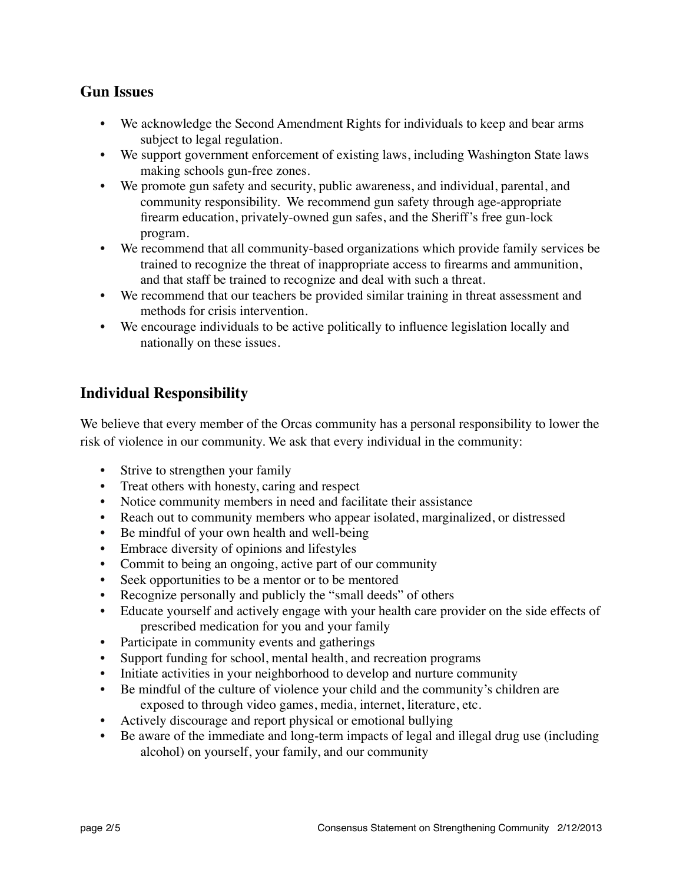#### **Gun Issues**

- We acknowledge the Second Amendment Rights for individuals to keep and bear arms subject to legal regulation.
- We support government enforcement of existing laws, including Washington State laws making schools gun-free zones.
- We promote gun safety and security, public awareness, and individual, parental, and community responsibility. We recommend gun safety through age-appropriate firearm education, privately-owned gun safes, and the Sheriff's free gun-lock program.
- We recommend that all community-based organizations which provide family services be trained to recognize the threat of inappropriate access to firearms and ammunition, and that staff be trained to recognize and deal with such a threat.
- We recommend that our teachers be provided similar training in threat assessment and methods for crisis intervention.
- We encourage individuals to be active politically to influence legislation locally and nationally on these issues.

# **Individual Responsibility**

We believe that every member of the Orcas community has a personal responsibility to lower the risk of violence in our community. We ask that every individual in the community:

- Strive to strengthen your family
- Treat others with honesty, caring and respect
- Notice community members in need and facilitate their assistance
- Reach out to community members who appear isolated, marginalized, or distressed
- Be mindful of your own health and well-being
- Embrace diversity of opinions and lifestyles
- Commit to being an ongoing, active part of our community
- Seek opportunities to be a mentor or to be mentored
- Recognize personally and publicly the "small deeds" of others
- Educate yourself and actively engage with your health care provider on the side effects of prescribed medication for you and your family
- Participate in community events and gatherings
- Support funding for school, mental health, and recreation programs
- Initiate activities in your neighborhood to develop and nurture community
- Be mindful of the culture of violence your child and the community's children are exposed to through video games, media, internet, literature, etc.
- Actively discourage and report physical or emotional bullying
- Be aware of the immediate and long-term impacts of legal and illegal drug use (including alcohol) on yourself, your family, and our community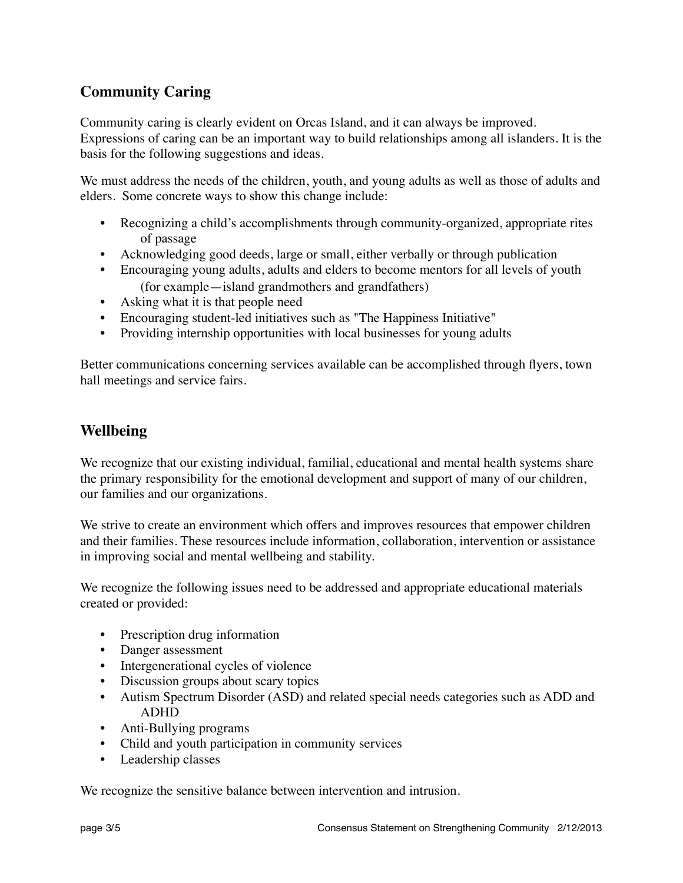# **Community Caring**

Community caring is clearly evident on Orcas Island, and it can always be improved. Expressions of caring can be an important way to build relationships among all islanders. It is the basis for the following suggestions and ideas.

We must address the needs of the children, youth, and young adults as well as those of adults and elders. Some concrete ways to show this change include:

- Recognizing a child's accomplishments through community-organized, appropriate rites of passage
- Acknowledging good deeds, large or small, either verbally or through publication
- Encouraging young adults, adults and elders to become mentors for all levels of youth (for example—island grandmothers and grandfathers)
- Asking what it is that people need
- Encouraging student-led initiatives such as "The Happiness Initiative"
- Providing internship opportunities with local businesses for young adults

Better communications concerning services available can be accomplished through flyers, town hall meetings and service fairs.

# **Wellbeing**

We recognize that our existing individual, familial, educational and mental health systems share the primary responsibility for the emotional development and support of many of our children, our families and our organizations.

We strive to create an environment which offers and improves resources that empower children and their families. These resources include information, collaboration, intervention or assistance in improving social and mental wellbeing and stability.

We recognize the following issues need to be addressed and appropriate educational materials created or provided:

- Prescription drug information
- Danger assessment
- Intergenerational cycles of violence
- Discussion groups about scary topics
- Autism Spectrum Disorder (ASD) and related special needs categories such as ADD and ADHD
- Anti-Bullying programs
- Child and youth participation in community services
- Leadership classes

We recognize the sensitive balance between intervention and intrusion.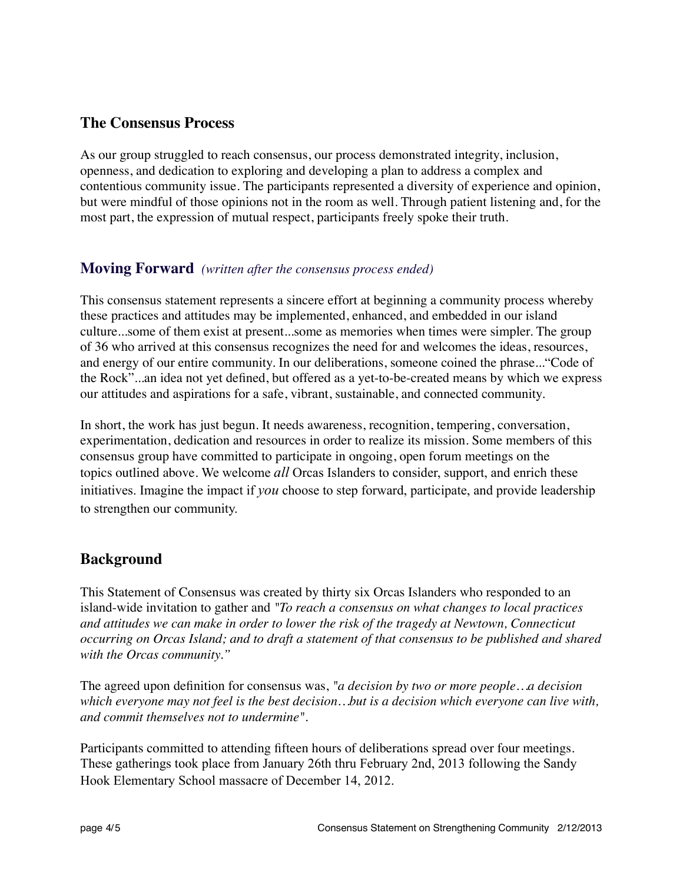#### **The Consensus Process**

As our group struggled to reach consensus, our process demonstrated integrity, inclusion, openness, and dedication to exploring and developing a plan to address a complex and contentious community issue. The participants represented a diversity of experience and opinion, but were mindful of those opinions not in the room as well. Through patient listening and, for the most part, the expression of mutual respect, participants freely spoke their truth.

#### **Moving Forward** *(written after the consensus process ended)*

This consensus statement represents a sincere effort at beginning a community process whereby these practices and attitudes may be implemented, enhanced, and embedded in our island culture...some of them exist at present...some as memories when times were simpler. The group of 36 who arrived at this consensus recognizes the need for and welcomes the ideas, resources, and energy of our entire community. In our deliberations, someone coined the phrase..."Code of the Rock"...an idea not yet defined, but offered as a yet-to-be-created means by which we express our attitudes and aspirations for a safe, vibrant, sustainable, and connected community.

In short, the work has just begun. It needs awareness, recognition, tempering, conversation, experimentation, dedication and resources in order to realize its mission. Some members of this consensus group have committed to participate in ongoing, open forum meetings on the topics outlined above. We welcome *all* Orcas Islanders to consider, support, and enrich these initiatives. Imagine the impact if *you* choose to step forward, participate, and provide leadership to strengthen our community.

# **Background**

This Statement of Consensus was created by thirty six Orcas Islanders who responded to an island-wide invitation to gather and *"To reach a consensus on what changes to local practices and attitudes we can make in order to lower the risk of the tragedy at Newtown, Connecticut occurring on Orcas Island; and to draft a statement of that consensus to be published and shared with the Orcas community."*

The agreed upon definition for consensus was, *"a decision by two or more people…a decision which everyone may not feel is the best decision…but is a decision which everyone can live with, and commit themselves not to undermine".*

Participants committed to attending fifteen hours of deliberations spread over four meetings. These gatherings took place from January 26th thru February 2nd, 2013 following the Sandy Hook Elementary School massacre of December 14, 2012.